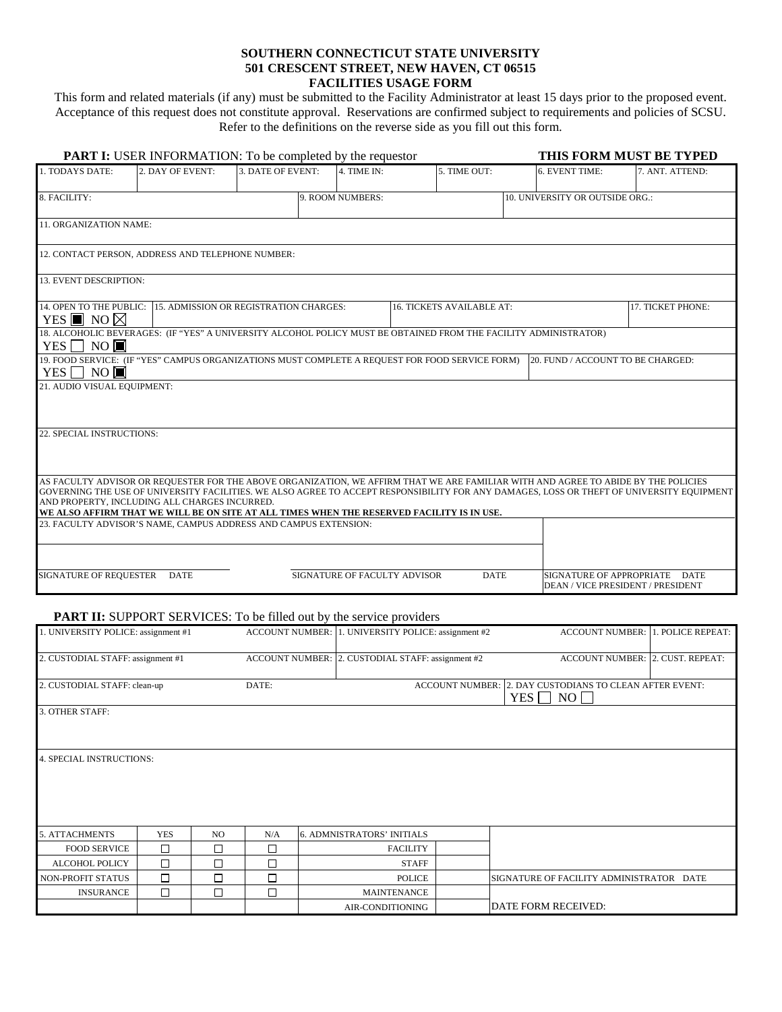## **SOUTHERN CONNECTICUT STATE UNIVERSITY 501 CRESCENT STREET, NEW HAVEN, CT 06515 FACILITIES USAGE FORM**

This form and related materials (if any) must be submitted to the Facility Administrator at least 15 days prior to the proposed event. Acceptance of this request does not constitute approval. Reservations are confirmed subject to requirements and policies of SCSU. Refer to the definitions on the reverse side as you fill out this form.

|                                                              | <b>PART I:</b> USER INFORMATION: To be completed by the requestor                                                                                                                                                                                                                |                   | THIS FORM MUST BE TYPED      |                                 |                                   |                                                                                                                                           |
|--------------------------------------------------------------|----------------------------------------------------------------------------------------------------------------------------------------------------------------------------------------------------------------------------------------------------------------------------------|-------------------|------------------------------|---------------------------------|-----------------------------------|-------------------------------------------------------------------------------------------------------------------------------------------|
| 1. TODAYS DATE:                                              | 2. DAY OF EVENT:                                                                                                                                                                                                                                                                 | 3. DATE OF EVENT: | 4. TIME IN:                  | 5. TIME OUT:                    | 6. EVENT TIME:                    | 7. ANT. ATTEND:                                                                                                                           |
| 8. FACILITY:                                                 |                                                                                                                                                                                                                                                                                  | 9. ROOM NUMBERS:  |                              | 10. UNIVERSITY OR OUTSIDE ORG.: |                                   |                                                                                                                                           |
| 11. ORGANIZATION NAME:                                       |                                                                                                                                                                                                                                                                                  |                   |                              |                                 |                                   |                                                                                                                                           |
|                                                              | 12. CONTACT PERSON, ADDRESS AND TELEPHONE NUMBER:                                                                                                                                                                                                                                |                   |                              |                                 |                                   |                                                                                                                                           |
| 13. EVENT DESCRIPTION:                                       |                                                                                                                                                                                                                                                                                  |                   |                              |                                 |                                   |                                                                                                                                           |
| 14. OPEN TO THE PUBLIC:<br>YES $\blacksquare$ NO $\boxtimes$ | 17. TICKET PHONE:                                                                                                                                                                                                                                                                |                   |                              |                                 |                                   |                                                                                                                                           |
| $YES \Box NO \Box$                                           | 18. ALCOHOLIC BEVERAGES: (IF "YES" A UNIVERSITY ALCOHOL POLICY MUST BE OBTAINED FROM THE FACILITY ADMINISTRATOR)                                                                                                                                                                 |                   |                              |                                 |                                   |                                                                                                                                           |
| YES   ∣NO <b>I</b>                                           | 19. FOOD SERVICE: (IF "YES" CAMPUS ORGANIZATIONS MUST COMPLETE A REOUEST FOR FOOD SERVICE FORM)                                                                                                                                                                                  |                   |                              |                                 | 20. FUND / ACCOUNT TO BE CHARGED: |                                                                                                                                           |
| 21. AUDIO VISUAL EQUIPMENT:                                  |                                                                                                                                                                                                                                                                                  |                   |                              |                                 |                                   |                                                                                                                                           |
| 22. SPECIAL INSTRUCTIONS:                                    |                                                                                                                                                                                                                                                                                  |                   |                              |                                 |                                   |                                                                                                                                           |
|                                                              | AS FACULTY ADVISOR OR REQUESTER FOR THE ABOVE ORGANIZATION, WE AFFIRM THAT WE ARE FAMILIAR WITH AND AGREE TO ABIDE BY THE POLICIES<br>AND PROPERTY, INCLUDING ALL CHARGES INCURRED.<br>WE ALSO AFFIRM THAT WE WILL BE ON SITE AT ALL TIMES WHEN THE RESERVED FACILITY IS IN USE. |                   |                              |                                 |                                   | GOVERNING THE USE OF UNIVERSITY FACILITIES. WE ALSO AGREE TO ACCEPT RESPONSIBILITY FOR ANY DAMAGES, LOSS OR THEFT OF UNIVERSITY EQUIPMENT |
|                                                              | 23. FACULTY ADVISOR'S NAME, CAMPUS ADDRESS AND CAMPUS EXTENSION:                                                                                                                                                                                                                 |                   |                              |                                 |                                   |                                                                                                                                           |
| <b>SIGNATURE OF REQUESTER</b>                                | <b>DATE</b>                                                                                                                                                                                                                                                                      |                   | SIGNATURE OF FACULTY ADVISOR | <b>DATE</b>                     |                                   | SIGNATURE OF APPROPRIATE DATE<br>DEAN / VICE PRESIDENT / PRESIDENT                                                                        |

## **PART II:** SUPPORT SERVICES: To be filled out by the service providers

| 1. UNIVERSITY POLICE: assignment #1 |            |     |                                                                  |  | ACCOUNT NUMBER: 1. UNIVERSITY POLICE: assignment #2 |  | ACCOUNT NUMBER: 1. POLICE REPEAT:        |  |  |  |  |
|-------------------------------------|------------|-----|------------------------------------------------------------------|--|-----------------------------------------------------|--|------------------------------------------|--|--|--|--|
| 2. CUSTODIAL STAFF: assignment #1   |            |     |                                                                  |  | ACCOUNT NUMBER: 2. CUSTODIAL STAFF: assignment #2   |  | ACCOUNT NUMBER: 2. CUST. REPEAT:         |  |  |  |  |
|                                     |            |     |                                                                  |  |                                                     |  |                                          |  |  |  |  |
| 2. CUSTODIAL STAFF: clean-up        |            |     | ACCOUNT NUMBER: 2. DAY CUSTODIANS TO CLEAN AFTER EVENT:<br>DATE: |  |                                                     |  | YES $\Box$ NO $\Box$                     |  |  |  |  |
| 3. OTHER STAFF:                     |            |     |                                                                  |  |                                                     |  |                                          |  |  |  |  |
|                                     |            |     |                                                                  |  |                                                     |  |                                          |  |  |  |  |
| <b>4. SPECIAL INSTRUCTIONS:</b>     |            |     |                                                                  |  |                                                     |  |                                          |  |  |  |  |
| 5. ATTACHMENTS                      | <b>YES</b> | NO. | N/A                                                              |  | <b>6. ADMNISTRATORS' INITIALS</b>                   |  |                                          |  |  |  |  |
| <b>FOOD SERVICE</b>                 | $\Box$     | □   | Π                                                                |  | <b>FACILITY</b>                                     |  |                                          |  |  |  |  |
| <b>ALCOHOL POLICY</b>               | □          | □   | П                                                                |  | <b>STAFF</b>                                        |  |                                          |  |  |  |  |
| <b>NON-PROFIT STATUS</b>            | $\Box$     | П   | П                                                                |  | <b>POLICE</b>                                       |  | SIGNATURE OF FACILITY ADMINISTRATOR DATE |  |  |  |  |
| <b>INSURANCE</b>                    | $\Box$     | □   | П                                                                |  | <b>MAINTENANCE</b>                                  |  |                                          |  |  |  |  |
|                                     |            |     |                                                                  |  | AIR-CONDITIONING                                    |  | DATE FORM RECEIVED:                      |  |  |  |  |